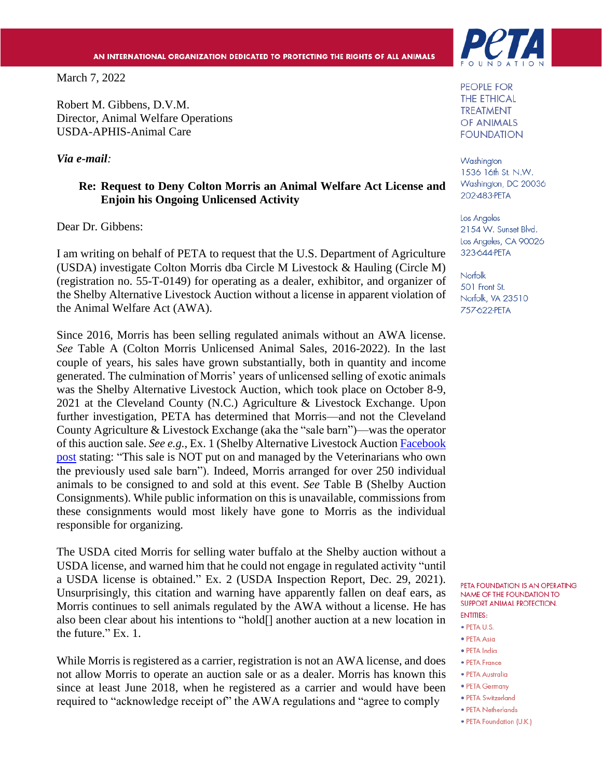March 7, 2022

Robert M. Gibbens, D.V.M. Director, Animal Welfare Operations USDA-APHIS-Animal Care

#### *Via e-mail:*

## **Re: Request to Deny Colton Morris an Animal Welfare Act License and Enjoin his Ongoing Unlicensed Activity**

Dear Dr. Gibbens:

I am writing on behalf of PETA to request that the U.S. Department of Agriculture (USDA) investigate Colton Morris dba Circle M Livestock & Hauling (Circle M) (registration no. 55-T-0149) for operating as a dealer, exhibitor, and organizer of the Shelby Alternative Livestock Auction without a license in apparent violation of the Animal Welfare Act (AWA).

Since 2016, Morris has been selling regulated animals without an AWA license. *See* Table A (Colton Morris Unlicensed Animal Sales, 2016-2022). In the last couple of years, his sales have grown substantially, both in quantity and income generated. The culmination of Morris' years of unlicensed selling of exotic animals was the Shelby Alternative Livestock Auction, which took place on October 8-9, 2021 at the Cleveland County (N.C.) Agriculture & Livestock Exchange. Upon further investigation, PETA has determined that Morris—and not the Cleveland County Agriculture & Livestock Exchange (aka the "sale barn")—was the operator of this auction sale. *See e.g.*, Ex. 1 (Shelby Alternative Livestock Auction [Facebook](https://www.facebook.com/ShelbyALA/posts/271451935121577)  [post](https://www.facebook.com/ShelbyALA/posts/271451935121577) stating: "This sale is NOT put on and managed by the Veterinarians who own the previously used sale barn"). Indeed, Morris arranged for over 250 individual animals to be consigned to and sold at this event. *See* Table B (Shelby Auction Consignments). While public information on this is unavailable, commissions from these consignments would most likely have gone to Morris as the individual responsible for organizing.

The USDA cited Morris for selling water buffalo at the Shelby auction without a USDA license, and warned him that he could not engage in regulated activity "until a USDA license is obtained." Ex. 2 (USDA Inspection Report, Dec. 29, 2021). Unsurprisingly, this citation and warning have apparently fallen on deaf ears, as Morris continues to sell animals regulated by the AWA without a license. He has also been clear about his intentions to "hold[] another auction at a new location in the future." Ex. 1.

While Morris is registered as a carrier, registration is not an AWA license, and does not allow Morris to operate an auction sale or as a dealer. Morris has known this since at least June 2018, when he registered as a carrier and would have been required to "acknowledge receipt of" the AWA regulations and "agree to comply



**PEOPLE FOR THE ETHICAL TREATMENT OF ANIMALS FOUNDATION** 

Washington 1536 16th St. N.W. Washington, DC 20036 202-483-PETA

Los Angeles 2154 W. Sunset Blvd. Los Angeles, CA 90026 323-644-PETA

Norfolk 501 Front St. Norfolk, VA 23510 757-622-PETA

PETA FOUNDATION IS AN OPERATING NAME OF THE FOUNDATION TO SUPPORT ANIMAL PROTECTION. **ENTITIES:** 

- · PETA U.S.
- · PETA Asia
- · PETA India
- PETA France
- · PETA Australia
- PETA Germany
- · PETA Switzerland
- · PETA Netherlands
- · PETA Foundation (U.K.)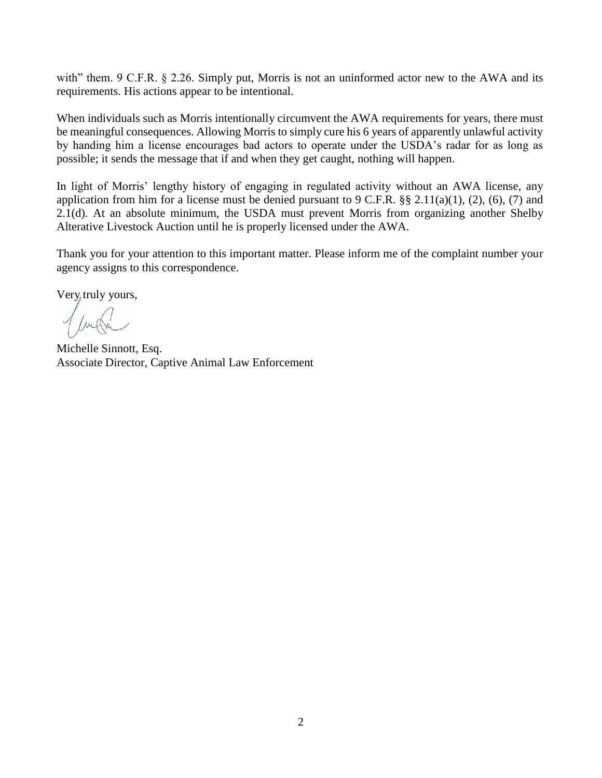with" them. 9 C.F.R. § 2.26. Simply put, Morris is not an uninformed actor new to the AWA and its requirements. His actions appear to be intentional.

When individuals such as Morris intentionally circumvent the AWA requirements for years, there must be meaningful consequences. Allowing Morris to simply cure his 6 years of apparently unlawful activity by handing him a license encourages bad actors to operate under the USDA's radar for as long as possible; it sends the message that if and when they get caught, nothing will happen.

In light of Morris' lengthy history of engaging in regulated activity without an AWA license, any application from him for a license must be denied pursuant to 9 C.F.R.  $\S$ § 2.11(a)(1), (2), (6), (7) and 2.1(d). At an absolute minimum, the USDA must prevent Morris from organizing another Shelby Alterative Livestock Auction until he is properly licensed under the AWA.

Thank you for your attention to this important matter. Please inform me of the complaint number your agency assigns to this correspondence.

Very truly yours,

Michelle Sinnott, Esq. Associate Director, Captive Animal Law Enforcement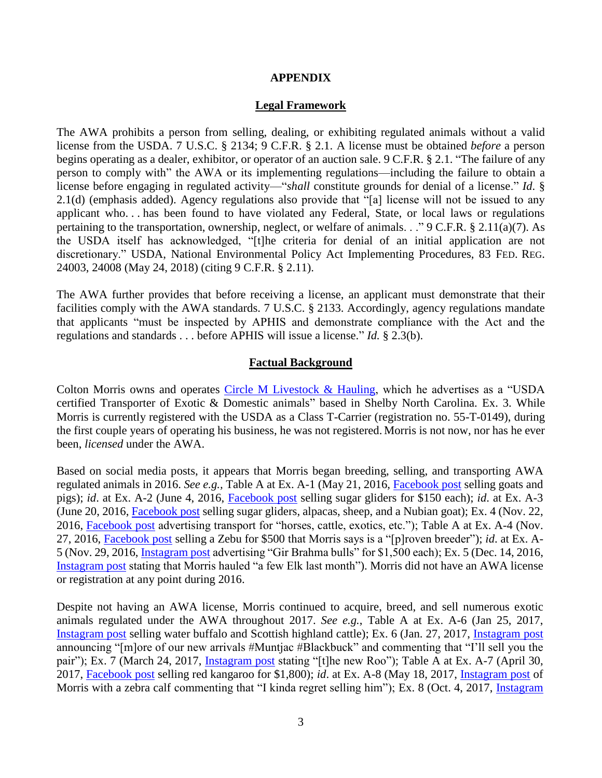### **APPENDIX**

### **Legal Framework**

The AWA prohibits a person from selling, dealing, or exhibiting regulated animals without a valid license from the USDA. 7 U.S.C. § 2134; 9 C.F.R. § 2.1. A license must be obtained *before* a person begins operating as a dealer, exhibitor, or operator of an auction sale. 9 C.F.R. § 2.1. "The failure of any person to comply with" the AWA or its implementing regulations—including the failure to obtain a license before engaging in regulated activity—"*shall* constitute grounds for denial of a license." *Id*. § 2.1(d) (emphasis added). Agency regulations also provide that "[a] license will not be issued to any applicant who. . . has been found to have violated any Federal, State, or local laws or regulations pertaining to the transportation, ownership, neglect, or welfare of animals. . ." 9 C.F.R. § 2.11(a)(7). As the USDA itself has acknowledged, "[t]he criteria for denial of an initial application are not discretionary." USDA, National Environmental Policy Act Implementing Procedures, 83 FED. REG. 24003, 24008 (May 24, 2018) (citing 9 C.F.R. § 2.11).

The AWA further provides that before receiving a license, an applicant must demonstrate that their facilities comply with the AWA standards. 7 U.S.C. § 2133. Accordingly, agency regulations mandate that applicants "must be inspected by APHIS and demonstrate compliance with the Act and the regulations and standards . . . before APHIS will issue a license." *Id.* § 2.3(b).

#### **Factual Background**

Colton Morris owns and operates [Circle M Livestock & Hauling,](https://www.facebook.com/circlemlivestock/) which he advertises as a "USDA certified Transporter of Exotic & Domestic animals" based in Shelby North Carolina. Ex. 3. While Morris is currently registered with the USDA as a Class T-Carrier (registration no. 55-T-0149), during the first couple years of operating his business, he was not registered. Morris is not now, nor has he ever been, *licensed* under the AWA.

Based on social media posts, it appears that Morris began breeding, selling, and transporting AWA regulated animals in 2016. *See e.g.,* Table A at Ex. A-1 (May 21, 2016, [Facebook post](https://www.facebook.com/circlemlivestock/posts/699726613500177) selling goats and pigs); *id*. at Ex. A-2 (June 4, 2016, [Facebook post](https://www.facebook.com/circlemlivestock/posts/707044242768414) selling sugar gliders for \$150 each); *id*. at Ex. A-3 (June 20, 2016, [Facebook post](https://www.facebook.com/circlemlivestock/posts/713676295438542) selling sugar gliders, alpacas, sheep, and a Nubian goat); Ex. 4 (Nov. 22, 2016, [Facebook post](https://www.facebook.com/circlemlivestock/posts/793145474158290) advertising transport for "horses, cattle, exotics, etc."); Table A at Ex. A-4 (Nov. 27, 2016, [Facebook post](https://www.facebook.com/circlemlivestock/posts/795793177226853) selling a Zebu for \$500 that Morris says is a "[p]roven breeder"); *id*. at Ex. A-5 (Nov. 29, 2016, [Instagram post](https://www.instagram.com/p/BNaK-tQBAjO/) advertising "Gir Brahma bulls" for \$1,500 each); Ex. 5 (Dec. 14, 2016, [Instagram post](https://www.instagram.com/p/BOBQzQxhgsR/) stating that Morris hauled "a few Elk last month"). Morris did not have an AWA license or registration at any point during 2016.

Despite not having an AWA license, Morris continued to acquire, breed, and sell numerous exotic animals regulated under the AWA throughout 2017. *See e.g.*, Table A at Ex. A-6 (Jan 25, 2017, [Instagram post](https://www.instagram.com/p/BPtLLsiBc5G/) selling water buffalo and Scottish highland cattle); Ex. 6 (Jan. 27, 2017, [Instagram post](https://www.instagram.com/p/BPxmulAhTR3/) announcing "[m]ore of our new arrivals #Muntjac #Blackbuck" and commenting that "I'll sell you the pair"); Ex. 7 (March 24, 2017, [Instagram post](https://www.instagram.com/p/BSCfylPFFO7/) stating "[t]he new Roo"); Table A at Ex. A-7 (April 30, 2017, [Facebook post](https://www.facebook.com/circlemlivestock/posts/883525121786991) selling red kangaroo for \$1,800); *id*. at Ex. A-8 (May 18, 2017, [Instagram post](https://www.instagram.com/p/BUQLuWRFojK/) of Morris with a zebra calf commenting that "I kinda regret selling him"); Ex. 8 (Oct. 4, 2017, [Instagram](https://www.instagram.com/p/BZ14qpbA865/)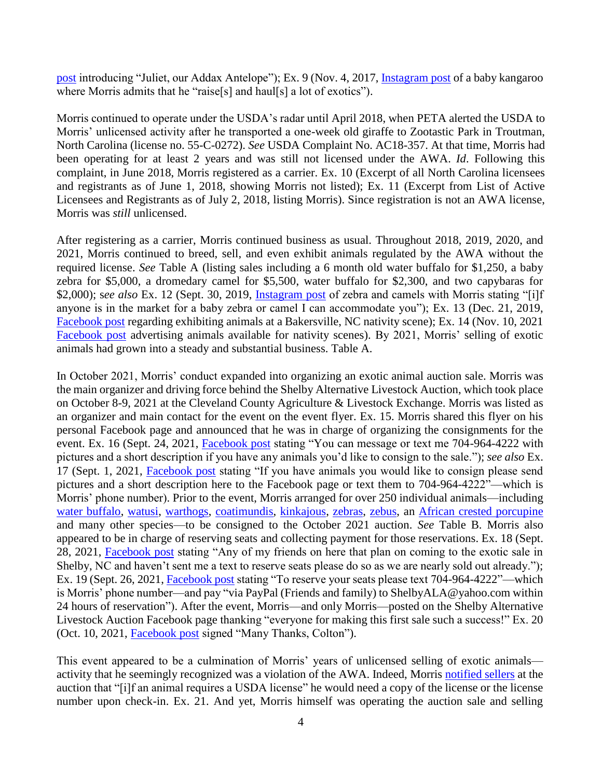[post](https://www.instagram.com/p/BZ14qpbA865/) introducing "Juliet, our Addax Antelope"); Ex. 9 (Nov. 4, 2017[, Instagram post](https://www.instagram.com/p/BbFhkSOl6o-/) of a baby kangaroo where Morris admits that he "raise[s] and haul[s] a lot of exotics").

Morris continued to operate under the USDA's radar until April 2018, when PETA alerted the USDA to Morris' unlicensed activity after he transported a one-week old giraffe to Zootastic Park in Troutman, North Carolina (license no. 55-C-0272). *See* USDA Complaint No. AC18-357. At that time, Morris had been operating for at least 2 years and was still not licensed under the AWA. *Id*. Following this complaint, in June 2018, Morris registered as a carrier. Ex. 10 (Excerpt of all North Carolina licensees and registrants as of June 1, 2018, showing Morris not listed); Ex. 11 (Excerpt from List of Active Licensees and Registrants as of July 2, 2018, listing Morris). Since registration is not an AWA license, Morris was *still* unlicensed.

After registering as a carrier, Morris continued business as usual. Throughout 2018, 2019, 2020, and 2021, Morris continued to breed, sell, and even exhibit animals regulated by the AWA without the required license. *See* Table A (listing sales including a 6 month old water buffalo for \$1,250, a baby zebra for \$5,000, a dromedary camel for \$5,500, water buffalo for \$2,300, and two capybaras for \$2,000); s*ee also* Ex. 12 (Sept. 30, 2019, [Instagram post](https://www.instagram.com/p/B3CVqoBJArB/) of zebra and camels with Morris stating "[i]f anyone is in the market for a baby zebra or camel I can accommodate you"); Ex. 13 (Dec. 21, 2019, [Facebook post](https://www.facebook.com/circlemlivestock/posts/1554327854706711) regarding exhibiting animals at a Bakersville, NC nativity scene); Ex. 14 (Nov. 10, 2021 [Facebook post](https://www.facebook.com/colton.morris.7923/posts/2969958853265882) advertising animals available for nativity scenes). By 2021, Morris' selling of exotic animals had grown into a steady and substantial business. Table A.

In October 2021, Morris' conduct expanded into organizing an exotic animal auction sale. Morris was the main organizer and driving force behind the Shelby Alternative Livestock Auction, which took place on October 8-9, 2021 at the Cleveland County Agriculture & Livestock Exchange. Morris was listed as an organizer and main contact for the event on the event flyer. Ex. 15. Morris shared this flyer on his personal Facebook page and announced that he was in charge of organizing the consignments for the event. Ex. 16 (Sept. 24, 2021, [Facebook post](https://www.facebook.com/colton.morris.7923/posts/2934541686807599) stating "You can message or text me 704-964-4222 with pictures and a short description if you have any animals you'd like to consign to the sale."); *see also* Ex. 17 (Sept. 1, 2021, [Facebook post](https://www.facebook.com/ShelbyALA/posts/151326960467409) stating "If you have animals you would like to consign please send pictures and a short description here to the Facebook page or text them to 704-964-4222"—which is Morris' phone number). Prior to the event, Morris arranged for over 250 individual animals—including [water buffalo,](https://www.facebook.com/ShelbyALA/posts/159864999613605) [watusi,](https://www.facebook.com/ShelbyALA/posts/151391760460929) [warthogs,](https://www.facebook.com/watch/?v=1019660255261795) [coatimundis, kinkajous,](https://www.facebook.com/ShelbyALA/posts/167803025486469) [zebras,](https://www.facebook.com/ShelbyALA/posts/167845042148934) [zebus,](https://www.facebook.com/ShelbyALA/posts/167806428819462) an [African crested porcupine](https://www.facebook.com/ShelbyALA/posts/174488781484560) and many other species—to be consigned to the October 2021 auction. *See* Table B. Morris also appeared to be in charge of reserving seats and collecting payment for those reservations. Ex. 18 (Sept. 28, 2021, [Facebook post](https://www.facebook.com/colton.morris.7923/posts/2937557289839372) stating "Any of my friends on here that plan on coming to the exotic sale in Shelby, NC and haven't sent me a text to reserve seats please do so as we are nearly sold out already."); Ex. 19 (Sept. 26, 2021, [Facebook post](https://www.facebook.com/ShelbyALA/posts/169088262024612) stating "To reserve your seats please text 704-964-4222"—which is Morris' phone number—and pay "via PayPal (Friends and family) to ShelbyALA@yahoo.com within 24 hours of reservation"). After the event, Morris—and only Morris—posted on the Shelby Alternative Livestock Auction Facebook page thanking "everyone for making this first sale such a success!" Ex. 20 (Oct. 10, 2021, [Facebook post](https://www.facebook.com/ShelbyALA/posts/178869147713190) signed "Many Thanks, Colton").

This event appeared to be a culmination of Morris' years of unlicensed selling of exotic animals activity that he seemingly recognized was a violation of the AWA. Indeed, Morris [notified](https://www.facebook.com/ShelbyALA/posts/173134111620027) sellers at the auction that "[i]f an animal requires a USDA license" he would need a copy of the license or the license number upon check-in. Ex. 21. And yet, Morris himself was operating the auction sale and selling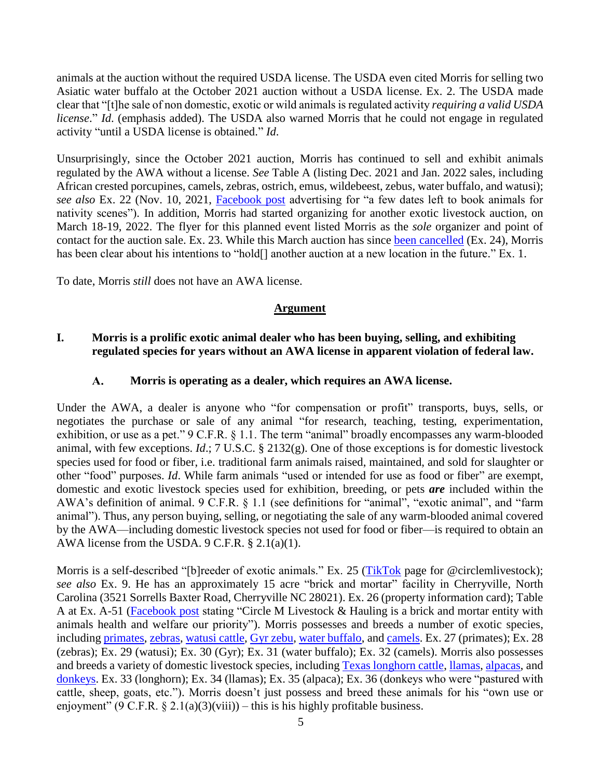animals at the auction without the required USDA license. The USDA even cited Morris for selling two Asiatic water buffalo at the October 2021 auction without a USDA license. Ex. 2. The USDA made clear that "[t]he sale of non domestic, exotic or wild animals is regulated activity *requiring a valid USDA license*." *Id*. (emphasis added). The USDA also warned Morris that he could not engage in regulated activity "until a USDA license is obtained." *Id*.

Unsurprisingly, since the October 2021 auction, Morris has continued to sell and exhibit animals regulated by the AWA without a license. *See* Table A (listing Dec. 2021 and Jan. 2022 sales, including African crested porcupines, camels, zebras, ostrich, emus, wildebeest, zebus, water buffalo, and watusi); *see also* Ex. 22 (Nov. 10, 2021, [Facebook post](https://www.facebook.com/colton.morris.7923/posts/2969958853265882) advertising for "a few dates left to book animals for nativity scenes"). In addition, Morris had started organizing for another exotic livestock auction, on March 18-19, 2022. The flyer for this planned event listed Morris as the *sole* organizer and point of contact for the auction sale. Ex. 23. While this March auction has since [been cancelled](https://www.facebook.com/ShelbyALA/posts/271343695132401) (Ex. 24), Morris has been clear about his intentions to "hold<sup>[]</sup> another auction at a new location in the future." Ex. 1.

To date, Morris *still* does not have an AWA license.

## **Argument**

# **I. Morris is a prolific exotic animal dealer who has been buying, selling, and exhibiting regulated species for years without an AWA license in apparent violation of federal law.**

#### $\mathbf{A}$ . **Morris is operating as a dealer, which requires an AWA license.**

Under the AWA, a dealer is anyone who "for compensation or profit" transports, buys, sells, or negotiates the purchase or sale of any animal "for research, teaching, testing, experimentation, exhibition, or use as a pet." 9 C.F.R. § 1.1. The term "animal" broadly encompasses any warm-blooded animal, with few exceptions. *Id*.; 7 U.S.C. § 2132(g). One of those exceptions is for domestic livestock species used for food or fiber, i.e. traditional farm animals raised, maintained, and sold for slaughter or other "food" purposes. *Id*. While farm animals "used or intended for use as food or fiber" are exempt, domestic and exotic livestock species used for exhibition, breeding, or pets *are* included within the AWA's definition of animal. 9 C.F.R. § 1.1 (see definitions for "animal", "exotic animal", and "farm animal"). Thus, any person buying, selling, or negotiating the sale of any warm-blooded animal covered by the AWA—including domestic livestock species not used for food or fiber—is required to obtain an AWA license from the USDA. 9 C.F.R.  $\S 2.1(a)(1)$ .

Morris is a self-described "[b]reeder of exotic animals." Ex. 25 [\(TikTok](https://www.tiktok.com/@circlemlivestock) page for @circlemlivestock); *see also* Ex. 9. He has an approximately 15 acre "brick and mortar" facility in Cherryville, North Carolina (3521 Sorrells Baxter Road, Cherryville NC 28021). Ex. 26 (property information card); Table A at Ex. A-51 [\(Facebook post](https://www.facebook.com/circlemlivestock/posts/1477027115770119) stating "Circle M Livestock & Hauling is a brick and mortar entity with animals health and welfare our priority"). Morris possesses and breeds a number of exotic species, including [primates,](https://www.instagram.com/p/CAL6wBCJGDg/) [zebras,](https://www.instagram.com/p/CPhJrBBJNj3/) [watusi cattle,](https://www.instagram.com/p/CGJIy0eJhDg/) [Gyr zebu,](https://www.instagram.com/p/B2SAQkzJOdu/) [water buffalo,](https://www.facebook.com/circlemlivestock/posts/1477027115770119) an[d camels.](https://www.facebook.com/circlemlivestock/posts/1471270669679097) Ex. 27 (primates); Ex. 28 (zebras); Ex. 29 (watusi); Ex. 30 (Gyr); Ex. 31 (water buffalo); Ex. 32 (camels). Morris also possesses and breeds a variety of domestic livestock species, including [Texas longhorn cattle,](https://www.facebook.com/circlemlivestock/posts/2213923028747187) [llamas,](https://www.facebook.com/circlemlivestock/posts/2028512623954896) [alpacas,](https://www.instagram.com/p/BuWESUAHE4v/) and [donkeys.](https://www.facebook.com/circlemlivestock/posts/2204771666328990) Ex. 33 (longhorn); Ex. 34 (llamas); Ex. 35 (alpaca); Ex. 36 (donkeys who were "pastured with cattle, sheep, goats, etc."). Morris doesn't just possess and breed these animals for his "own use or enjoyment" (9 C.F.R. § 2.1(a)(3)(viii)) – this is his highly profitable business.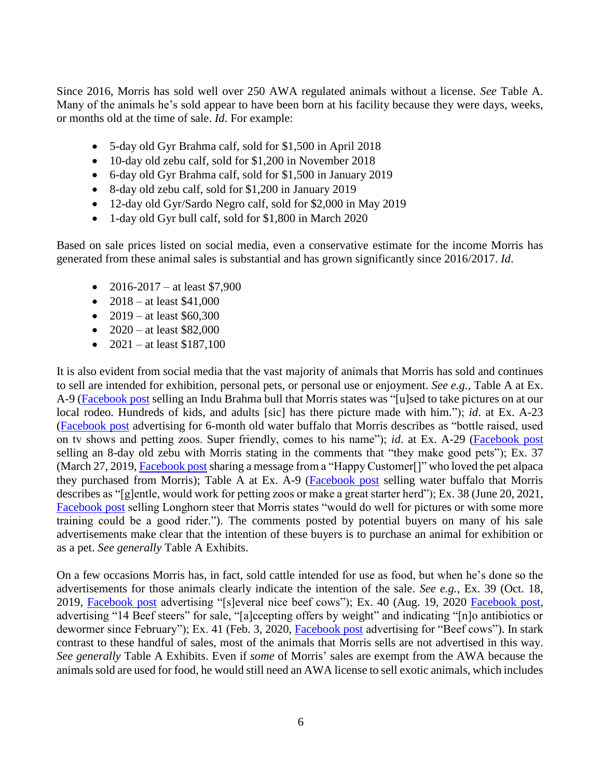Since 2016, Morris has sold well over 250 AWA regulated animals without a license. *See* Table A. Many of the animals he's sold appear to have been born at his facility because they were days, weeks, or months old at the time of sale. *Id*. For example:

- 5-day old Gyr Brahma calf, sold for \$1,500 in April 2018
- 10-day old zebu calf, sold for \$1,200 in November 2018
- 6-day old Gyr Brahma calf, sold for \$1,500 in January 2019
- 8-day old zebu calf, sold for \$1,200 in January 2019
- 12-day old Gyr/Sardo Negro calf, sold for \$2,000 in May 2019
- 1-day old Gyr bull calf, sold for \$1,800 in March 2020

Based on sale prices listed on social media, even a conservative estimate for the income Morris has generated from these animal sales is substantial and has grown significantly since 2016/2017. *Id*.

- 2016-2017 at least \$7,900
- $2018 at least $41,000$
- 2019 at least  $$60,300$
- $2020 at least $82,000$
- $2021 at least $187,100$

It is also evident from social media that the vast majority of animals that Morris has sold and continues to sell are intended for exhibition, personal pets, or personal use or enjoyment. *See e.g.*, Table A at Ex. A-9 [\(Facebook post](https://www.facebook.com/circlemlivestock/posts/1079456052193896) selling an Indu Brahma bull that Morris states was "[u]sed to take pictures on at our local rodeo. Hundreds of kids, and adults [sic] has there picture made with him."); *id*. at Ex. A-23 [\(Facebook post](https://www.facebook.com/circlemlivestock/posts/1232167640256069) advertising for 6-month old water buffalo that Morris describes as "bottle raised, used on tv shows and petting zoos. Super friendly, comes to his name"); *id*. at Ex. A-29 [\(Facebook post](https://www.facebook.com/circlemlivestock/posts/1286928528113313) selling an 8-day old zebu with Morris stating in the comments that "they make good pets"); Ex. 37 (March 27, 2019, [Facebook post](https://www.facebook.com/circlemlivestock/posts/1328886900584142) sharing a message from a "Happy Customer[]" who loved the pet alpaca they purchased from Morris); Table A at Ex. A-9 [\(Facebook post](https://www.facebook.com/circlemlivestock/posts/1977249595747866) selling water buffalo that Morris describes as "[g]entle, would work for petting zoos or make a great starter herd"); Ex. 38 (June 20, 2021, [Facebook post](https://www.facebook.com/circlemlivestock/posts/2036143843191774) selling Longhorn steer that Morris states "would do well for pictures or with some more training could be a good rider."). The comments posted by potential buyers on many of his sale advertisements make clear that the intention of these buyers is to purchase an animal for exhibition or as a pet. *See generally* Table A Exhibits.

On a few occasions Morris has, in fact, sold cattle intended for use as food, but when he's done so the advertisements for those animals clearly indicate the intention of the sale. *See e.g.*, Ex. 39 (Oct. 18, 2019, [Facebook post](https://www.facebook.com/circlemlivestock/posts/1488366914636139) advertising "[s]everal nice beef cows"); Ex. 40 (Aug. 19, 2020 [Facebook post,](https://www.facebook.com/watch/?v=1204591349893799) advertising "14 Beef steers" for sale, "[a]ccepting offers by weight" and indicating "[n]o antibiotics or dewormer since February"); Ex. 41 (Feb. 3, 2020, [Facebook post](https://www.facebook.com/circlemlivestock/posts/1597858903686939) advertising for "Beef cows"). In stark contrast to these handful of sales, most of the animals that Morris sells are not advertised in this way. *See generally* Table A Exhibits. Even if *some* of Morris' sales are exempt from the AWA because the animals sold are used for food, he would still need an AWA license to sell exotic animals, which includes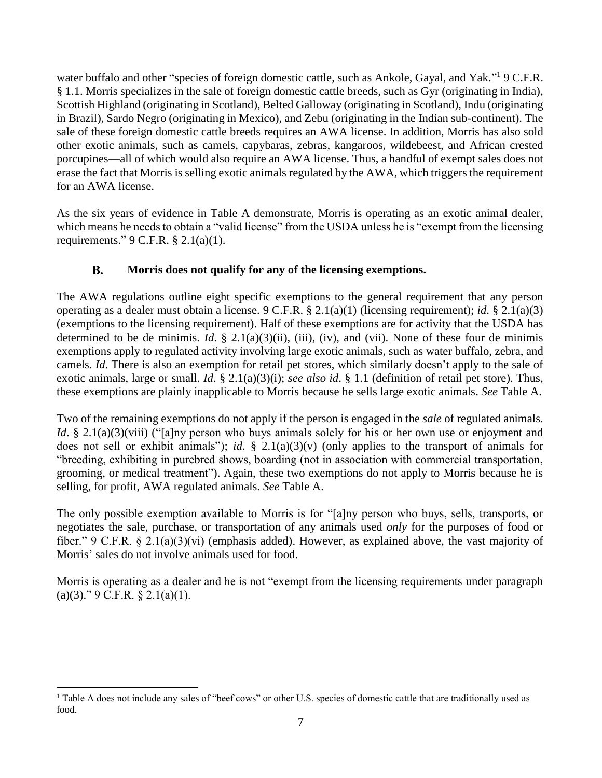water buffalo and other "species of foreign domestic cattle, such as Ankole, Gayal, and Yak."<sup>1</sup> 9 C.F.R. § 1.1. Morris specializes in the sale of foreign domestic cattle breeds, such as Gyr (originating in India), Scottish Highland (originating in Scotland), Belted Galloway (originating in Scotland), Indu (originating in Brazil), Sardo Negro (originating in Mexico), and Zebu (originating in the Indian sub-continent). The sale of these foreign domestic cattle breeds requires an AWA license. In addition, Morris has also sold other exotic animals, such as camels, capybaras, zebras, kangaroos, wildebeest, and African crested porcupines—all of which would also require an AWA license. Thus, a handful of exempt sales does not erase the fact that Morris is selling exotic animals regulated by the AWA, which triggers the requirement for an AWA license.

As the six years of evidence in Table A demonstrate, Morris is operating as an exotic animal dealer, which means he needs to obtain a "valid license" from the USDA unless he is "exempt from the licensing requirements."  $9 \text{ C.F.R. } § 2.1(a)(1)$ .

#### **B. Morris does not qualify for any of the licensing exemptions.**

The AWA regulations outline eight specific exemptions to the general requirement that any person operating as a dealer must obtain a license. 9 C.F.R. § 2.1(a)(1) (licensing requirement); *id*. § 2.1(a)(3) (exemptions to the licensing requirement). Half of these exemptions are for activity that the USDA has determined to be de minimis. *Id*. § 2.1(a)(3)(ii), (iii), (iv), and (vii). None of these four de minimis exemptions apply to regulated activity involving large exotic animals, such as water buffalo, zebra, and camels. *Id*. There is also an exemption for retail pet stores, which similarly doesn't apply to the sale of exotic animals, large or small. *Id*. § 2.1(a)(3)(i); *see also id*. § 1.1 (definition of retail pet store). Thus, these exemptions are plainly inapplicable to Morris because he sells large exotic animals. *See* Table A.

Two of the remaining exemptions do not apply if the person is engaged in the *sale* of regulated animals. *Id.* § 2.1(a)(3)(viii) ("[a]ny person who buys animals solely for his or her own use or enjoyment and does not sell or exhibit animals"); *id*. § 2.1(a)(3)(v) (only applies to the transport of animals for "breeding, exhibiting in purebred shows, boarding (not in association with commercial transportation, grooming, or medical treatment"). Again, these two exemptions do not apply to Morris because he is selling, for profit, AWA regulated animals. *See* Table A.

The only possible exemption available to Morris is for "[a]ny person who buys, sells, transports, or negotiates the sale, purchase, or transportation of any animals used *only* for the purposes of food or fiber." 9 C.F.R. § 2.1(a)(3)(vi) (emphasis added). However, as explained above, the vast majority of Morris' sales do not involve animals used for food.

Morris is operating as a dealer and he is not "exempt from the licensing requirements under paragraph  $(a)(3)$ ." 9 C.F.R. § 2.1(a)(1).

 $\overline{\phantom{a}}$ 

 $1$  Table A does not include any sales of "beef cows" or other U.S. species of domestic cattle that are traditionally used as food.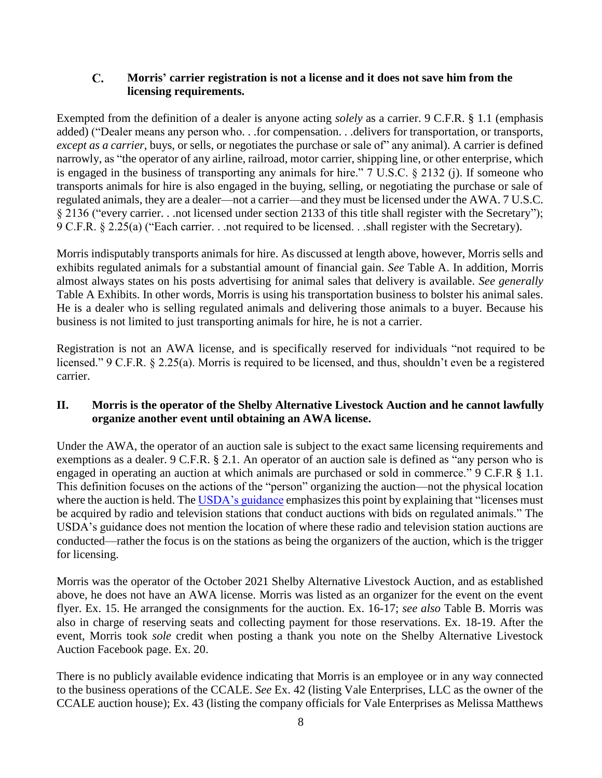#### $C_{\bullet}$ **Morris' carrier registration is not a license and it does not save him from the licensing requirements.**

Exempted from the definition of a dealer is anyone acting *solely* as a carrier. 9 C.F.R. § 1.1 (emphasis added) ("Dealer means any person who. . .for compensation. . .delivers for transportation, or transports, *except as a carrier*, buys, or sells, or negotiates the purchase or sale of" any animal). A carrier is defined narrowly, as "the operator of any airline, railroad, motor carrier, shipping line, or other enterprise, which is engaged in the business of transporting any animals for hire." 7 U.S.C. § 2132 (j). If someone who transports animals for hire is also engaged in the buying, selling, or negotiating the purchase or sale of regulated animals, they are a dealer—not a carrier—and they must be licensed under the AWA. 7 U.S.C. § 2136 ("every carrier. . .not licensed under section 2133 of this title shall register with the Secretary"); 9 C.F.R. § 2.25(a) ("Each carrier. . .not required to be licensed. . .shall register with the Secretary).

Morris indisputably transports animals for hire. As discussed at length above, however, Morris sells and exhibits regulated animals for a substantial amount of financial gain. *See* Table A. In addition, Morris almost always states on his posts advertising for animal sales that delivery is available. *See generally* Table A Exhibits. In other words, Morris is using his transportation business to bolster his animal sales. He is a dealer who is selling regulated animals and delivering those animals to a buyer. Because his business is not limited to just transporting animals for hire, he is not a carrier.

Registration is not an AWA license, and is specifically reserved for individuals "not required to be licensed." 9 C.F.R. § 2.25(a). Morris is required to be licensed, and thus, shouldn't even be a registered carrier.

# **II. Morris is the operator of the Shelby Alternative Livestock Auction and he cannot lawfully organize another event until obtaining an AWA license.**

Under the AWA, the operator of an auction sale is subject to the exact same licensing requirements and exemptions as a dealer. 9 C.F.R. § 2.1. An operator of an auction sale is defined as "any person who is engaged in operating an auction at which animals are purchased or sold in commerce." 9 C.F.R § 1.1. This definition focuses on the actions of the "person" organizing the auction—not the physical location where the auction is held. The [USDA's guidance](https://www.aphis.usda.gov/animal_welfare/downloads/aw/awlicreg_gray-book.pdf) emphasizes this point by explaining that "licenses must" be acquired by radio and television stations that conduct auctions with bids on regulated animals." The USDA's guidance does not mention the location of where these radio and television station auctions are conducted—rather the focus is on the stations as being the organizers of the auction, which is the trigger for licensing.

Morris was the operator of the October 2021 Shelby Alternative Livestock Auction, and as established above, he does not have an AWA license. Morris was listed as an organizer for the event on the event flyer. Ex. 15. He arranged the consignments for the auction. Ex. 16-17; *see also* Table B. Morris was also in charge of reserving seats and collecting payment for those reservations. Ex. 18-19. After the event, Morris took *sole* credit when posting a thank you note on the Shelby Alternative Livestock Auction Facebook page. Ex. 20.

There is no publicly available evidence indicating that Morris is an employee or in any way connected to the business operations of the CCALE. *See* Ex. 42 (listing Vale Enterprises, LLC as the owner of the CCALE auction house); Ex. 43 (listing the company officials for Vale Enterprises as Melissa Matthews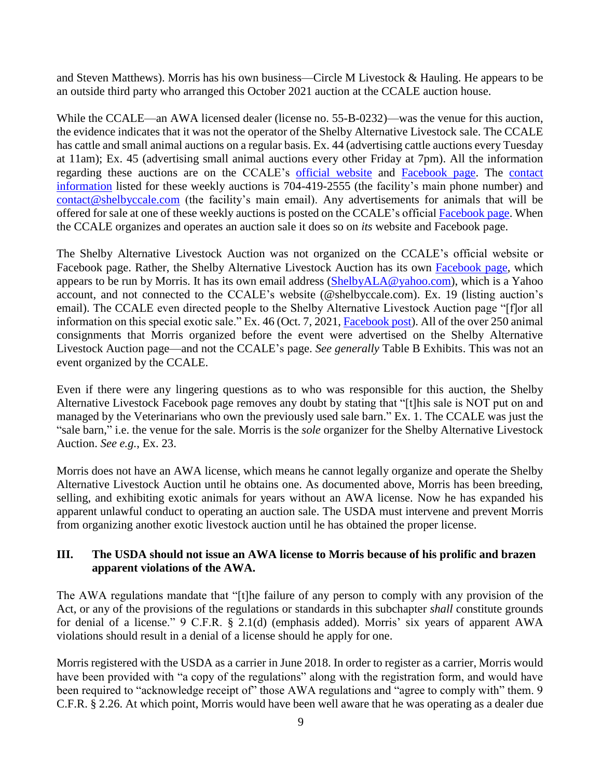and Steven Matthews). Morris has his own business—Circle M Livestock & Hauling. He appears to be an outside third party who arranged this October 2021 auction at the CCALE auction house.

While the CCALE—an AWA licensed dealer (license no. 55-B-0232)—was the venue for this auction, the evidence indicates that it was not the operator of the Shelby Alternative Livestock sale. The CCALE has cattle and small animal auctions on a regular basis. Ex. 44 (advertising cattle auctions every Tuesday at 11am); Ex. 45 (advertising small animal auctions every other Friday at 7pm). All the information regarding these auctions are on the CCALE's [official website](http://shelbyccale.com/small-animal-auction) and [Facebook page.](https://www.facebook.com/ClevelandCountyAgricultureAndLivestockExchange/) The [contact](http://shelbyccale.com/services.html)  [information](http://shelbyccale.com/services.html) listed for these weekly auctions is 704-419-2555 (the facility's main phone number) and [contact@shelbyccale.com](mailto:contact@shelbyccale.com) (the facility's main email). Any advertisements for animals that will be offered for sale at one of these weekly auctions is posted on the CCALE's officia[l Facebook page.](https://www.facebook.com/ClevelandCountyAgricultureAndLivestockExchange/) When the CCALE organizes and operates an auction sale it does so on *its* website and Facebook page.

The Shelby Alternative Livestock Auction was not organized on the CCALE's official website or Facebook page. Rather, the Shelby Alternative Livestock Auction has its own [Facebook page,](https://www.facebook.com/ShelbyALA/?ref=page_internal) which appears to be run by Morris. It has its own email address [\(ShelbyALA@yahoo.com\)](mailto:ShelbyALA@yahoo.com), which is a Yahoo account, and not connected to the CCALE's website (@shelbyccale.com). Ex. 19 (listing auction's email). The CCALE even directed people to the Shelby Alternative Livestock Auction page "[f]or all information on this special exotic sale." Ex. 46 (Oct. 7, 2021, [Facebook post\)](https://www.facebook.com/ClevelandCountyAgricultureAndLivestockExchange/posts/4344888932268298). All of the over 250 animal consignments that Morris organized before the event were advertised on the Shelby Alternative Livestock Auction page—and not the CCALE's page. *See generally* Table B Exhibits. This was not an event organized by the CCALE.

Even if there were any lingering questions as to who was responsible for this auction, the Shelby Alternative Livestock Facebook page removes any doubt by stating that "[t]his sale is NOT put on and managed by the Veterinarians who own the previously used sale barn." Ex. 1. The CCALE was just the "sale barn," i.e. the venue for the sale. Morris is the *sole* organizer for the Shelby Alternative Livestock Auction. *See e.g.*, Ex. 23.

Morris does not have an AWA license, which means he cannot legally organize and operate the Shelby Alternative Livestock Auction until he obtains one. As documented above, Morris has been breeding, selling, and exhibiting exotic animals for years without an AWA license. Now he has expanded his apparent unlawful conduct to operating an auction sale. The USDA must intervene and prevent Morris from organizing another exotic livestock auction until he has obtained the proper license.

## **III. The USDA should not issue an AWA license to Morris because of his prolific and brazen apparent violations of the AWA.**

The AWA regulations mandate that "[t]he failure of any person to comply with any provision of the Act, or any of the provisions of the regulations or standards in this subchapter *shall* constitute grounds for denial of a license." 9 C.F.R. § 2.1(d) (emphasis added). Morris' six years of apparent AWA violations should result in a denial of a license should he apply for one.

Morris registered with the USDA as a carrier in June 2018. In order to register as a carrier, Morris would have been provided with "a copy of the regulations" along with the registration form, and would have been required to "acknowledge receipt of" those AWA regulations and "agree to comply with" them. 9 C.F.R. § 2.26. At which point, Morris would have been well aware that he was operating as a dealer due